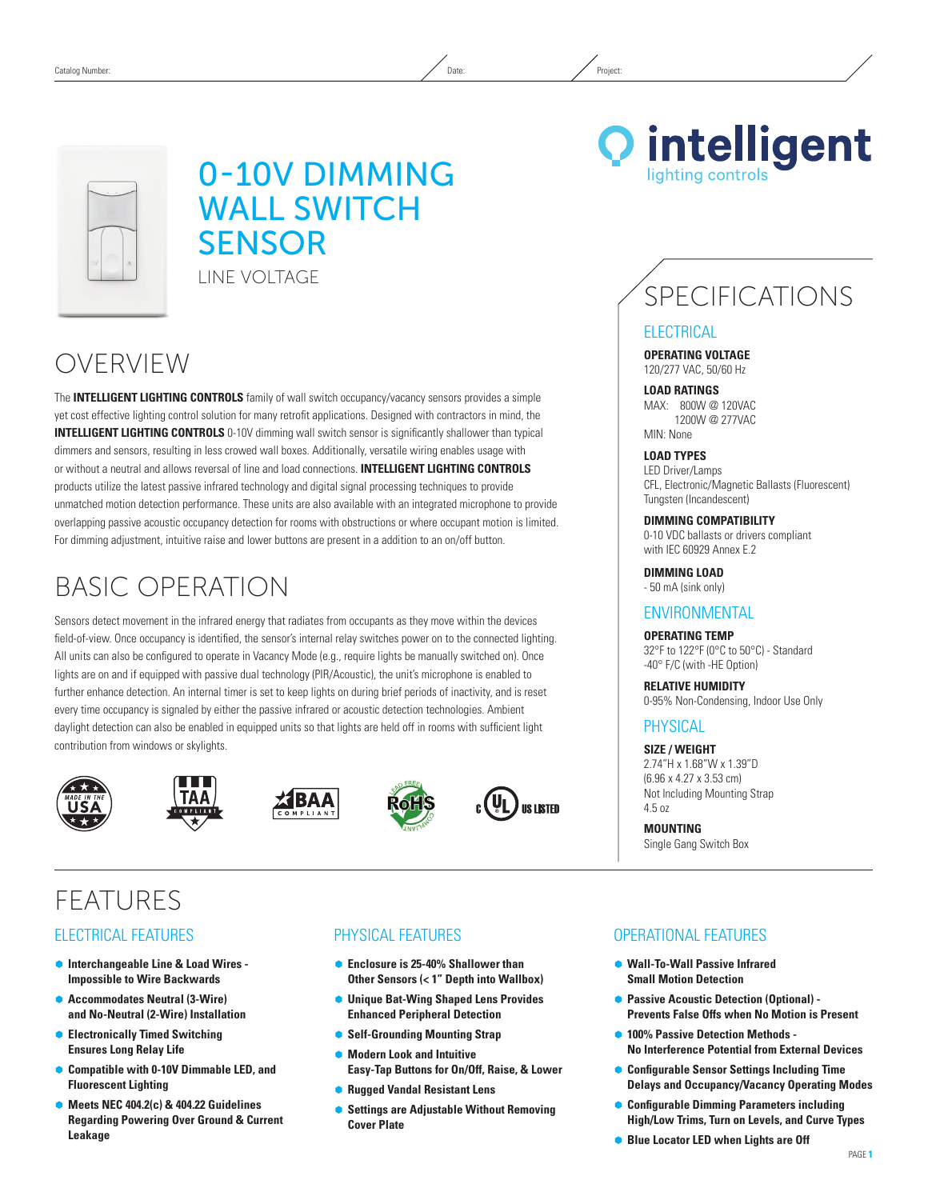## 0-10V Dimming **WALL SWITCH SENSOR** Line Voltage

## OVERVIEW

The **INTELLIGENT LIGHTING CONTROLS** family of wall switch occupancy/vacancy sensors provides a simple yet cost effective lighting control solution for many retrofit applications. Designed with contractors in mind, the **INTELLIGENT LIGHTING CONTROLS** 0-10V dimming wall switch sensor is significantly shallower than typical dimmers and sensors, resulting in less crowed wall boxes. Additionally, versatile wiring enables usage with or without a neutral and allows reversal of line and load connections. **INTELLIGENT LIGHTING CONTROLS** products utilize the latest passive infrared technology and digital signal processing techniques to provide unmatched motion detection performance. These units are also available with an integrated microphone to provide overlapping passive acoustic occupancy detection for rooms with obstructions or where occupant motion is limited. For dimming adjustment, intuitive raise and lower buttons are present in a addition to an on/off button.

## Basic Operation

Sensors detect movement in the infrared energy that radiates from occupants as they move within the devices field-of-view. Once occupancy is identified, the sensor's internal relay switches power on to the connected lighting. All units can also be configured to operate in Vacancy Mode (e.g., require lights be manually switched on). Once lights are on and if equipped with passive dual technology (PIR/Acoustic), the unit's microphone is enabled to further enhance detection. An internal timer is set to keep lights on during brief periods of inactivity, and is reset every time occupancy is signaled by either the passive infrared or acoustic detection technologies. Ambient daylight detection can also be enabled in equipped units so that lights are held off in rooms with sufficient light contribution from windows or skylights.













**FFATURES** 

### Electrical Features

- Ã **Interchangeable Line & Load Wires Impossible to Wire Backwards**
- **Accommodates Neutral (3-Wire) and No-Neutral (2-Wire) Installation**
- Ã **Electronically Timed Switching Ensures Long Relay Life**
- Ã **Compatible with 0-10V Dimmable LED, and Fluorescent Lighting**
- Ã **Meets NEC 404.2(c) & 404.22 Guidelines Regarding Powering Over Ground & Current Leakage**

### Physical Features

- **Enclosure is 25-40% Shallower than Other Sensors (< 1" Depth into Wallbox)**
- Ã **Unique Bat-Wing Shaped Lens Provides Enhanced Peripheral Detection**
- **Self-Grounding Mounting Strap**
- Ã **Modern Look and Intuitive Easy-Tap Buttons for On/Off, Raise, & Lower**
- Ã **Rugged Vandal Resistant Lens**
- Ã **Settings are Adjustable Without Removing Cover Plate**

**Q** intelligent ighting controls

# SPECIFICATIONS

#### **ELECTRICAL**

**Operating Voltage** 120/277 VAC, 50/60 Hz

**Load ratings** MAX: 800W @ 120VAC 1200W @ 277VAC MIN: None

**Load Types**

LED Driver/Lamps CFL, Electronic/Magnetic Ballasts (Fluorescent) Tungsten (Incandescent)

**DIMMING Compatibility**

0-10 VDC ballasts or drivers compliant with IEC 60929 Annex E.2

**DIMMING LOAD** - 50 mA (sink only)

#### **ENVIRONMENTAL**

**Operating Temp** 32°F to 122°F (0°C to 50°C) - Standard -40° F/C (with -HE Option)

**Relative Humidity** 0-95% Non-Condensing, Indoor Use Only

### **PHYSICAL**

**Size / WEIGHT** 2.74"H x 1.68"W x 1.39"D (6.96 x 4.27 x 3.53 cm) Not Including Mounting Strap 4.5 oz

**Mounting** Single Gang Switch Box

### Operational Features

- Ã **Wall-To-Wall Passive Infrared Small Motion Detection**
- **Passive Acoustic Detection (Optional) -Prevents False Offs when No Motion is Present**
- 100% Passive Detection Methods -**No Interference Potential from External Devices**
- Ã **Configurable Sensor Settings Including Time Delays and Occupancy/Vacancy Operating Modes**
- Ã **Configurable Dimming Parameters including High/Low Trims, Turn on Levels, and Curve Types**
- **Blue Locator LED when Lights are Off**

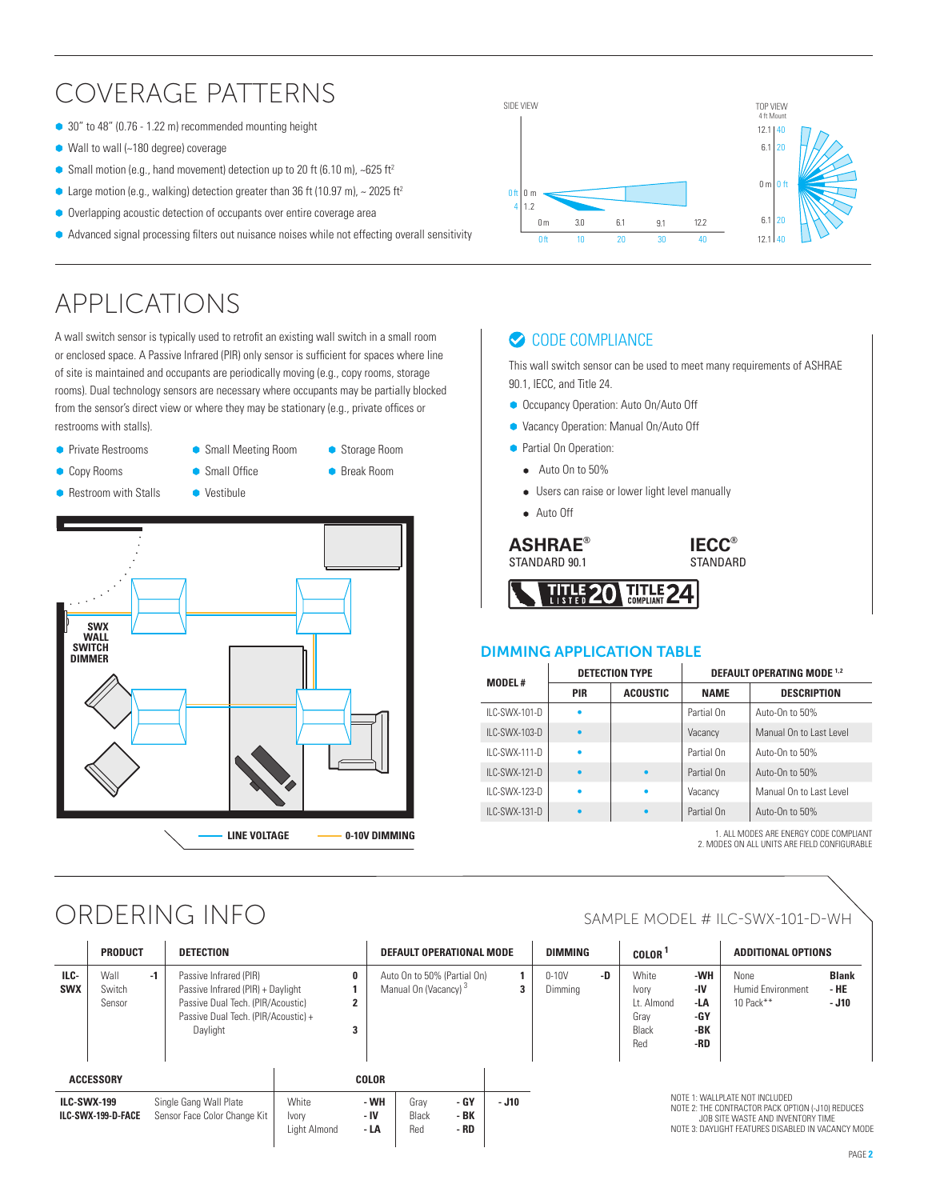## Coverage Patterns

- 30" to 48" (0.76 1.22 m) recommended mounting height
- $\bullet$  Wall to wall (~180 degree) coverage
- Small motion (e.g., hand movement) detection up to 20 ft (6.10 m),  $\sim$  625 ft<sup>2</sup>
- $\bullet$  Large motion (e.g., walking) detection greater than 36 ft (10.97 m), ~ 2025 ft<sup>2</sup>
- Overlapping acoustic detection of occupants over entire coverage area
- $\bullet$  Advanced signal processing filters out nuisance noises while not effecting overall sensitivity

## APPLICATIONS

A wall switch sensor is typically used to retrofit an existing wall switch in a small room or enclosed space. A Passive Infrared (PIR) only sensor is sufficient for spaces where line of site is maintained and occupants are periodically moving (e.g., copy rooms, storage rooms). Dual technology sensors are necessary where occupants may be partially blocked from the sensor's direct view or where they may be stationary (e.g., private offices or restrooms with stalls).





## ORDERING INFO SAMPLE MODEL # ILC-SWX-101-D-WH

|                                          | <b>PRODUCT</b>           |                                                                                          | <b>DETECTION</b>                                                                                                                                    |                      |                      | DEFAULT OPERATIONAL MODE                                        |       |   | <b>DIMMING</b>       |    | COLOR <sup>1</sup>                                                                                                                                           |                                        | <b>ADDITIONAL OPTIONS</b>                       |  |
|------------------------------------------|--------------------------|------------------------------------------------------------------------------------------|-----------------------------------------------------------------------------------------------------------------------------------------------------|----------------------|----------------------|-----------------------------------------------------------------|-------|---|----------------------|----|--------------------------------------------------------------------------------------------------------------------------------------------------------------|----------------------------------------|-------------------------------------------------|--|
| ILC-<br><b>SWX</b>                       | Wall<br>Switch<br>Sensor | $-1$                                                                                     | Passive Infrared (PIR)<br>Passive Infrared (PIR) + Daylight<br>Passive Dual Tech. (PIR/Acoustic)<br>Passive Dual Tech. (PIR/Acoustic) +<br>Daylight |                      | 0<br>G<br>3          | Auto On to 50% (Partial On)<br>Manual On (Vacancy) <sup>3</sup> |       | 3 | $0 - 10V$<br>Dimming | -D | White<br>Ivory<br>Lt. Almond<br>Grav<br>Black<br>Red                                                                                                         | -WH<br>-IV<br>-LA<br>-GY<br>-BK<br>-RD | None<br><b>Humid Environment</b><br>10 $Pack**$ |  |
| <b>ACCESSORY</b>                         |                          |                                                                                          |                                                                                                                                                     |                      | <b>COLOR</b>         |                                                                 |       |   |                      |    |                                                                                                                                                              |                                        |                                                 |  |
| <b>ILC-SWX-199</b><br>ILC-SWX-199-D-FACE |                          | White<br>Single Gang Wall Plate<br>Sensor Face Color Change Kit<br>Ivory<br>Light Almond |                                                                                                                                                     | - WH<br>- IV<br>- LA | Grav<br>Black<br>Red | - GY<br>- BK<br>- RD                                            | - J10 |   |                      |    | NOTE 1: WALLPLATE NOT INCLUDED<br>NOTE 2: THE CONTRACTOR PACK OPTION (-J10)<br>JOB SITE WASTE AND INVENTORY TIM<br>NOTE 3: DAYLIGHT FEATURES DISABLED IN VAC |                                        |                                                 |  |



### CODE COMPLIANCE

This wall switch sensor can be used to meet many requirements of ASHRAE 90.1, IECC, and Title 24.

- **Occupancy Operation: Auto On/Auto Off**
- Ã Vacancy Operation: Manual On/Auto Off
- **Partial On Operation:** 
	- Auto On to 50%
	- Users can raise or lower light level manually

**TITLE**<br>COMPLIANT

• Auto Off

**ASHRAE®** Standard 90.1

**TITLE**<br>Listen



#### Dimming Application TABLE

20

| <b>MODEL#</b>    |            | <b>DETECTION TYPE</b> | <b>DEFAULT OPERATING MODE 1.2</b> |                         |  |  |
|------------------|------------|-----------------------|-----------------------------------|-------------------------|--|--|
|                  | <b>PIR</b> | <b>ACOUSTIC</b>       | <b>NAME</b>                       | <b>DESCRIPTION</b>      |  |  |
| $IL$ C-SWX-101-D |            |                       | Partial On                        | Auto-On to 50%          |  |  |
| $IL$ C-SWX-103-D | ٠          |                       | Vacancy                           | Manual On to Last Level |  |  |
| $II C-SWX-111-D$ | ٠          |                       | Partial On                        | Auto-On to 50%          |  |  |
| $IL$ C-SWX-121-D | ٠          |                       | Partial On                        | Auto-On to 50%          |  |  |
| II C-SWX-123-D   | ۰          |                       | Vacancy                           | Manual On to Last Level |  |  |
| $IL$ C-SWX-131-D | ٠          |                       | Partial On                        | Auto-On to 50%          |  |  |

24

1. All modes are energy code compliant 2. Modes on all units are field configurable

|        | <b>DIMMING</b>       |    | COLOR <sup>1</sup>                                   |                                        | <b>ADDITIONAL OPTIONS</b>                     |                                 |  |
|--------|----------------------|----|------------------------------------------------------|----------------------------------------|-----------------------------------------------|---------------------------------|--|
| 1<br>3 | $0 - 10V$<br>Dimming | -D | White<br>Ivory<br>Lt. Almond<br>Gray<br>Black<br>Red | -WH<br>-IV<br>-LA<br>-GY<br>-BK<br>-RD | None<br><b>Humid Environment</b><br>10 Pack** | <b>Blank</b><br>- HE<br>$-$ J10 |  |

Note 1: Wallplate not included Note 2: The Contractor Pack option (-J10) reduces job site waste and inventory time

Note 3: Daylight Features Disabled IN VACANCY MODE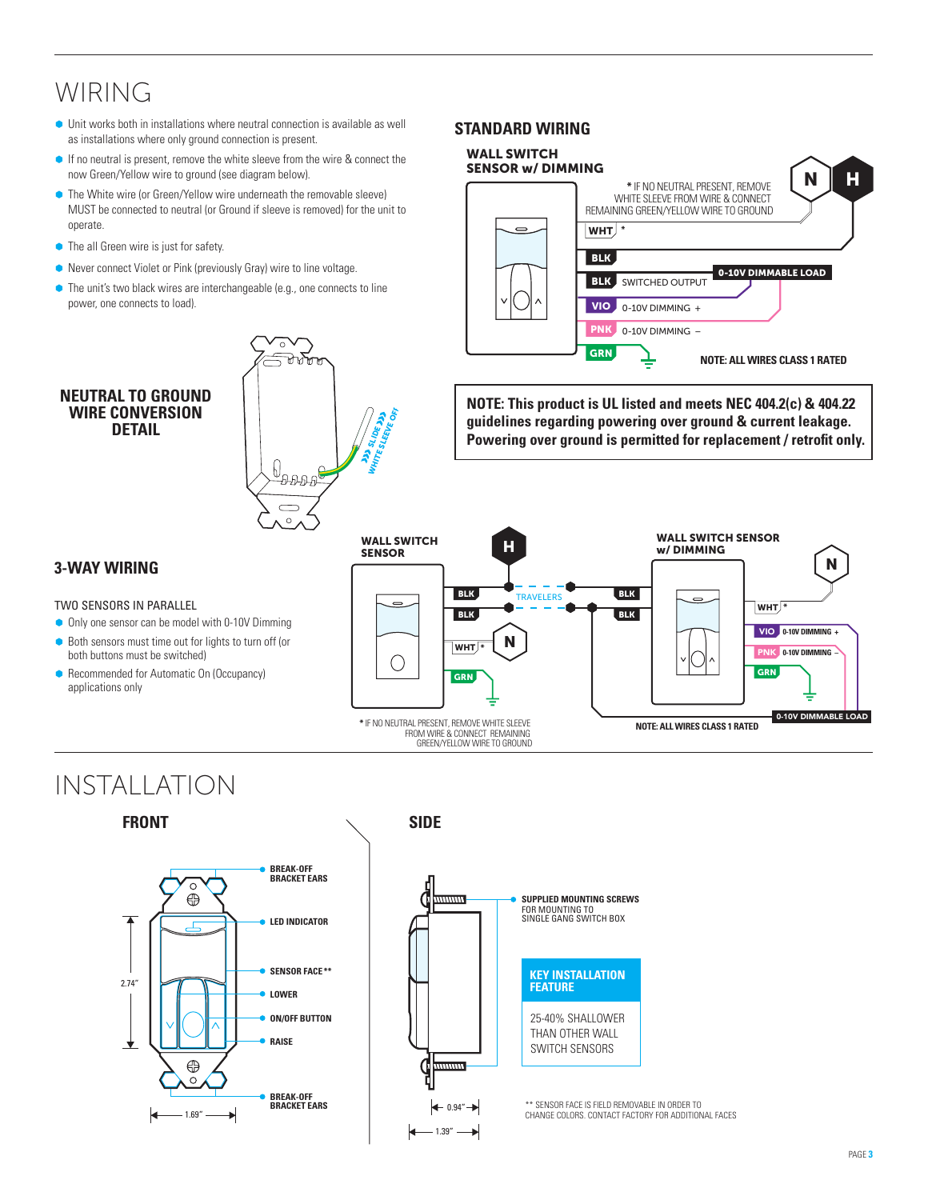## WIRING

- $\bullet$  Unit works both in installations where neutral connection is available as well as installations where only ground connection is present.
- **If no neutral is present, remove the white sleeve from the wire & connect the** now Green/Yellow wire to ground (see diagram below).
- The White wire (or Green/Yellow wire underneath the removable sleeve) MUST be connected to neutral (or Ground if sleeve is removed) for the unit to operate.
- $\bullet$  The all Green wire is just for safety.
- Never connect Violet or Pink (previously Gray) wire to line voltage.
- The unit's two black wires are interchangeable (e.g., one connects to line power, one connects to load).

#### **Neutral to Ground WIRE CONVERSION DETAIL**



### **Standard Wiring**



**NOTE: This product is UL listed and meets NEC 404.2(c) & 404.22 guidelines regarding powering over ground & current leakage. Powering over ground is permitted for replacement / retrofit only.**

#### WALL SWITCH SENSOR WALL SWITCH H**SENSOR** w/ DIMMING N BLK BLK **TRAVELERS**  $w$ HT $*$ **BLK BLK 0-10V DIMMING +** VIO NWHT **\*** PNK **0-10V DIMMING –**  $(\ )$ GRN **GRN** 0-10V DIMMABLE LOAD **NOTE: ALL WIRES CLASS 1 RATED \*** IF NO NEUTRAL PRESENT, REMOVE WHITE SLEEVE FROM WIRE & CONNECT REMAINING GREEN/YELLOW WIRE TO GROUND

## Two sensors in parallel

**3-Way Wiring**

- Only one sensor can be model with 0-10V Dimming
- Both sensors must time out for lights to turn off (or
- both buttons must be switched)
- Recommended for Automatic On (Occupancy) applications only